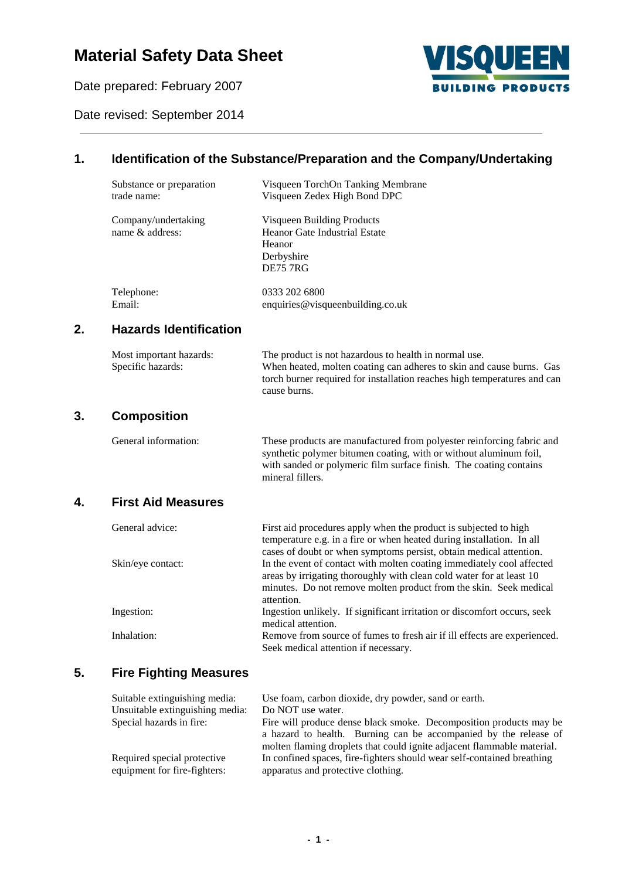# **Material Safety Data Sheet**

Date prepared: February 2007



Date revised: September 2014

## **1. Identification of the Substance/Preparation and the Company/Undertaking**

|    | Substance or preparation<br>trade name:      | Visqueen TorchOn Tanking Membrane<br>Visqueen Zedex High Bond DPC                                                                                                                                                                    |
|----|----------------------------------------------|--------------------------------------------------------------------------------------------------------------------------------------------------------------------------------------------------------------------------------------|
|    | Company/undertaking<br>name & address:       | Visqueen Building Products<br>Heanor Gate Industrial Estate<br>Heanor<br>Derbyshire<br><b>DE75 7RG</b>                                                                                                                               |
|    | Telephone:<br>Email:                         | 0333 202 6800<br>enquiries@visqueenbuilding.co.uk                                                                                                                                                                                    |
| 2. | <b>Hazards Identification</b>                |                                                                                                                                                                                                                                      |
|    | Most important hazards:<br>Specific hazards: | The product is not hazardous to health in normal use.<br>When heated, molten coating can adheres to skin and cause burns. Gas<br>torch burner required for installation reaches high temperatures and can<br>cause burns.            |
| 3. | <b>Composition</b>                           |                                                                                                                                                                                                                                      |
|    | General information:                         | These products are manufactured from polyester reinforcing fabric and<br>synthetic polymer bitumen coating, with or without aluminum foil,<br>with sanded or polymeric film surface finish. The coating contains<br>mineral fillers. |
| 4. | <b>First Aid Measures</b>                    |                                                                                                                                                                                                                                      |
|    | General advice:                              | First aid procedures apply when the product is subjected to high<br>temperature e.g. in a fire or when heated during installation. In all<br>cases of doubt or when symptoms persist, obtain medical attention.                      |
|    | Skin/eye contact:                            | In the event of contact with molten coating immediately cool affected<br>areas by irrigating thoroughly with clean cold water for at least 10                                                                                        |

Ingestion: Ingestion unlikely. If significant irritation or discomfort occurs, seek

Inhalation: Remove from source of fumes to fresh air if ill effects are experienced.

### **5. Fire Fighting Measures**

| Suitable extinguishing media:   | Use foam, carbon dioxide, dry powder, sand or earth.                   |
|---------------------------------|------------------------------------------------------------------------|
| Unsuitable extinguishing media: | Do NOT use water.                                                      |
| Special hazards in fire:        | Fire will produce dense black smoke. Decomposition products may be     |
|                                 | a hazard to health. Burning can be accompanied by the release of       |
|                                 | molten flaming droplets that could ignite adjacent flammable material. |
| Required special protective     | In confined spaces, fire-fighters should wear self-contained breathing |
| equipment for fire-fighters:    | apparatus and protective clothing.                                     |

Seek medical attention if necessary.

attention.

medical attention.

minutes. Do not remove molten product from the skin. Seek medical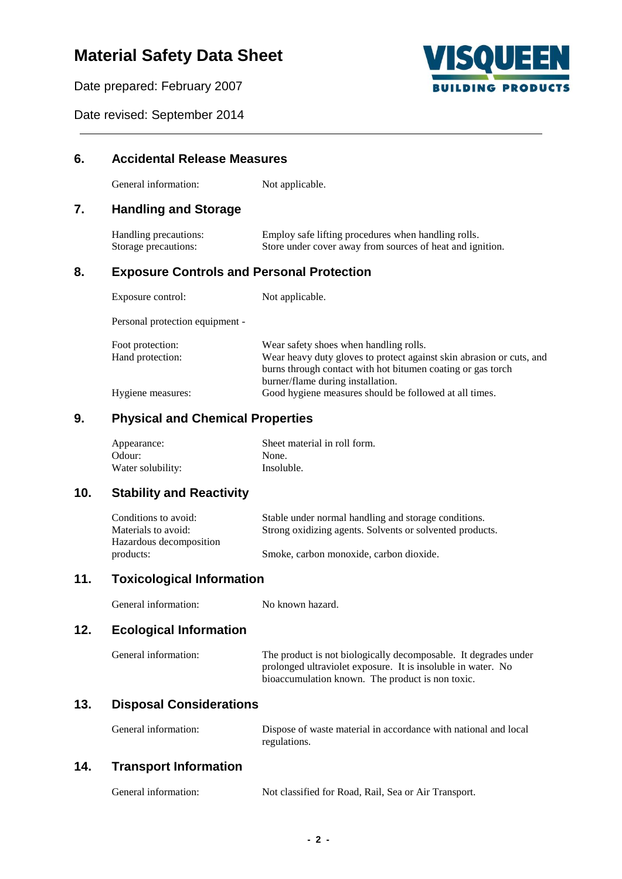# **Material Safety Data Sheet**

Date prepared: February 2007



Date revised: September 2014

| 6.  | <b>Accidental Release Measures</b>                                     |                                                                                                                                                                                                                    |  |  |
|-----|------------------------------------------------------------------------|--------------------------------------------------------------------------------------------------------------------------------------------------------------------------------------------------------------------|--|--|
|     | General information:                                                   | Not applicable.                                                                                                                                                                                                    |  |  |
| 7.  | <b>Handling and Storage</b>                                            |                                                                                                                                                                                                                    |  |  |
|     | Handling precautions:<br>Storage precautions:                          | Employ safe lifting procedures when handling rolls.<br>Store under cover away from sources of heat and ignition.                                                                                                   |  |  |
| 8.  | <b>Exposure Controls and Personal Protection</b>                       |                                                                                                                                                                                                                    |  |  |
|     | Exposure control:                                                      | Not applicable.                                                                                                                                                                                                    |  |  |
|     | Personal protection equipment -                                        |                                                                                                                                                                                                                    |  |  |
|     | Foot protection:<br>Hand protection:                                   | Wear safety shoes when handling rolls.<br>Wear heavy duty gloves to protect against skin abrasion or cuts, and<br>burns through contact with hot bitumen coating or gas torch<br>burner/flame during installation. |  |  |
|     | Hygiene measures:                                                      | Good hygiene measures should be followed at all times.                                                                                                                                                             |  |  |
| 9.  | <b>Physical and Chemical Properties</b>                                |                                                                                                                                                                                                                    |  |  |
|     | Appearance:                                                            | Sheet material in roll form.                                                                                                                                                                                       |  |  |
|     | Odour:<br>Water solubility:                                            | None.<br>Insoluble.                                                                                                                                                                                                |  |  |
| 10. | <b>Stability and Reactivity</b>                                        |                                                                                                                                                                                                                    |  |  |
|     | Conditions to avoid:<br>Materials to avoid:<br>Hazardous decomposition | Stable under normal handling and storage conditions.<br>Strong oxidizing agents. Solvents or solvented products.                                                                                                   |  |  |
|     | products:                                                              | Smoke, carbon monoxide, carbon dioxide.                                                                                                                                                                            |  |  |
| 11. | <b>Toxicological Information</b>                                       |                                                                                                                                                                                                                    |  |  |
|     | General information:                                                   | No known hazard.                                                                                                                                                                                                   |  |  |
| 12. | <b>Ecological Information</b>                                          |                                                                                                                                                                                                                    |  |  |
|     | General information:                                                   | The product is not biologically decomposable. It degrades under<br>prolonged ultraviolet exposure. It is insoluble in water. No<br>bioaccumulation known. The product is non toxic.                                |  |  |
| 13. | <b>Disposal Considerations</b>                                         |                                                                                                                                                                                                                    |  |  |
|     | General information:                                                   | Dispose of waste material in accordance with national and local<br>regulations.                                                                                                                                    |  |  |
| 14. | <b>Transport Information</b>                                           |                                                                                                                                                                                                                    |  |  |
|     | General information:                                                   | Not classified for Road, Rail, Sea or Air Transport.                                                                                                                                                               |  |  |